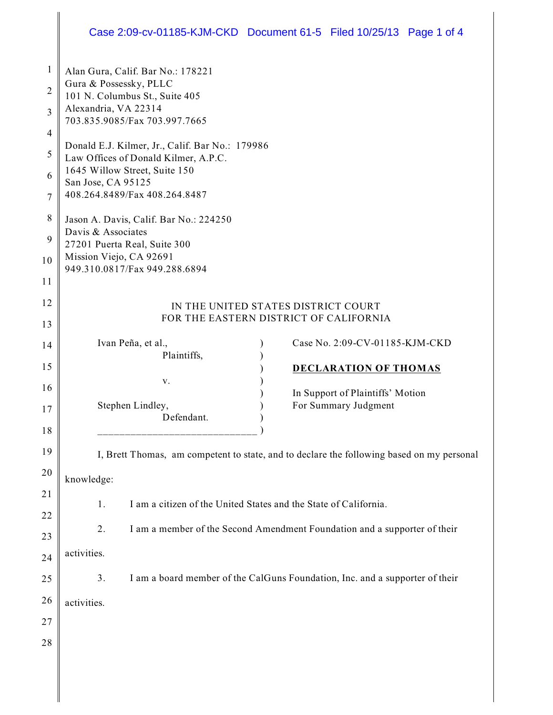## Case 2:09-cv-01185-KJM-CKD Document 61-5 Filed 10/25/13 Page 1 of 4

| 1<br>2<br>3<br>$\overline{4}$ | Alan Gura, Calif. Bar No.: 178221<br>Gura & Possessky, PLLC<br>101 N. Columbus St., Suite 405<br>Alexandria, VA 22314<br>703.835.9085/Fax 703.997.7665 |
|-------------------------------|--------------------------------------------------------------------------------------------------------------------------------------------------------|
| 5                             | Donald E.J. Kilmer, Jr., Calif. Bar No.: 179986<br>Law Offices of Donald Kilmer, A.P.C.<br>1645 Willow Street, Suite 150                               |
| 6<br>7                        | San Jose, CA 95125<br>408.264.8489/Fax 408.264.8487                                                                                                    |
| 8                             | Jason A. Davis, Calif. Bar No.: 224250<br>Davis & Associates                                                                                           |
| 9                             | 27201 Puerta Real, Suite 300                                                                                                                           |
| $10$                          | Mission Viejo, CA 92691<br>949.310.0817/Fax 949.288.6894                                                                                               |
| 11                            |                                                                                                                                                        |
| 12                            | IN THE UNITED STATES DISTRICT COURT                                                                                                                    |
| 13                            | FOR THE EASTERN DISTRICT OF CALIFORNIA                                                                                                                 |
| 14                            | Case No. 2:09-CV-01185-KJM-CKD<br>Ivan Peña, et al.,                                                                                                   |
| 15                            | Plaintiffs,<br><b>DECLARATION OF THOMAS</b>                                                                                                            |
| 16                            | V.                                                                                                                                                     |
|                               | In Support of Plaintiffs' Motion<br>For Summary Judgment<br>Stephen Lindley,                                                                           |
| 17                            | Defendant.                                                                                                                                             |
| 18                            |                                                                                                                                                        |
| 19                            | I, Brett Thomas, am competent to state, and to declare the following based on my personal                                                              |
| 20                            | knowledge:                                                                                                                                             |
| 21                            | I am a citizen of the United States and the State of California.<br>1.                                                                                 |
| 22                            |                                                                                                                                                        |
| 23                            | I am a member of the Second Amendment Foundation and a supporter of their<br>2.                                                                        |
| 24                            | activities.                                                                                                                                            |
| 25                            | 3.<br>I am a board member of the CalGuns Foundation, Inc. and a supporter of their                                                                     |
| 26                            | activities.                                                                                                                                            |
| 27                            |                                                                                                                                                        |
| 28                            |                                                                                                                                                        |
|                               |                                                                                                                                                        |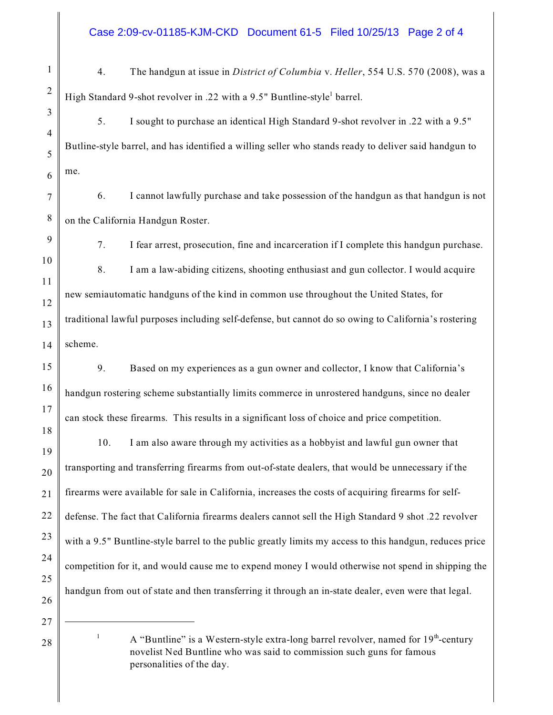Case 2:09-cv-01185-KJM-CKD Document 61-5 Filed 10/25/13 Page 2 of 4

- 4. The handgun at issue in *District of Columbia* v. *Heller*, 554 U.S. 570 (2008), was a High Standard 9-shot revolver in .22 with a 9.5" Buntline-style<sup>1</sup> barrel.
- 5. I sought to purchase an identical High Standard 9-shot revolver in .22 with a 9.5" Butline-style barrel, and has identified a willing seller who stands ready to deliver said handgun to me.
- 6. I cannot lawfully purchase and take possession of the handgun as that handgun is not on the California Handgun Roster.
	- 7. I fear arrest, prosecution, fine and incarceration if I complete this handgun purchase. 8. I am a law-abiding citizens, shooting enthusiast and gun collector. I would acquire new semiautomatic handguns of the kind in common use throughout the United States, for traditional lawful purposes including self-defense, but cannot do so owing to California's rostering scheme.
- 9. Based on my experiences as a gun owner and collector, I know that California's handgun rostering scheme substantially limits commerce in unrostered handguns, since no dealer can stock these firearms. This results in a significant loss of choice and price competition.

10. I am also aware through my activities as a hobbyist and lawful gun owner that transporting and transferring firearms from out-of-state dealers, that would be unnecessary if the firearms were available for sale in California, increases the costs of acquiring firearms for selfdefense. The fact that California firearms dealers cannot sell the High Standard 9 shot .22 revolver with a 9.5" Buntline-style barrel to the public greatly limits my access to this handgun, reduces price competition for it, and would cause me to expend money I would otherwise not spend in shipping the handgun from out of state and then transferring it through an in-state dealer, even were that legal.

<sup>1</sup> A "Buntline" is a Western-style extra-long barrel revolver, named for  $19<sup>th</sup>$ -century novelist Ned Buntline who was said to commission such guns for famous personalities of the day.

1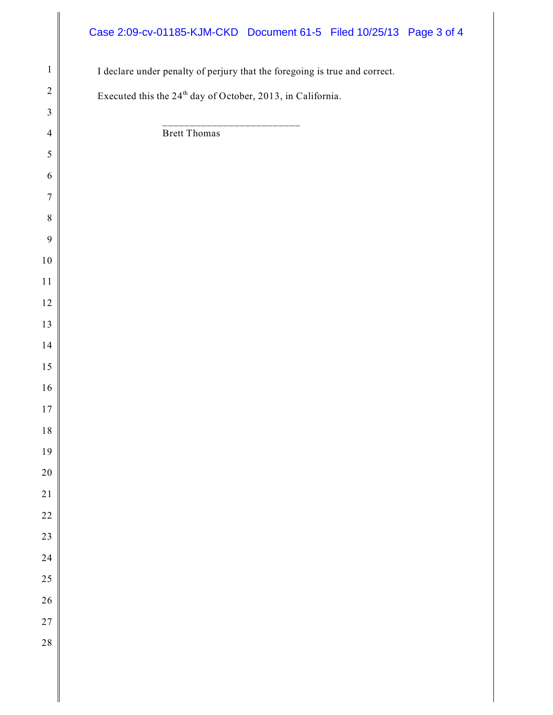## Case 2:09-cv-01185-KJM-CKD Document 61-5 Filed 10/25/13 Page 3 of 4

| $\mathbf{1}$   | I declare under penalty of perjury that the foregoing is true and correct. |
|----------------|----------------------------------------------------------------------------|
| $\overline{2}$ |                                                                            |
| $\mathfrak{Z}$ | Executed this the 24 <sup>th</sup> day of October, 2013, in California.    |
| $\overline{4}$ | _______________<br><b>Brett Thomas</b>                                     |
| 5              |                                                                            |
| 6              |                                                                            |
| $\overline{7}$ |                                                                            |
| $\,8\,$        |                                                                            |
| 9              |                                                                            |
| $10\,$         |                                                                            |
| $1\,1$         |                                                                            |
| $12\,$         |                                                                            |
| 13             |                                                                            |
| $14$           |                                                                            |
| $15\,$         |                                                                            |
| $16\,$         |                                                                            |
| $1\,7$         |                                                                            |
| $1\,8$         |                                                                            |
| 19             |                                                                            |
| $20\,$         |                                                                            |
| 21             |                                                                            |
| 22             |                                                                            |
| 23             |                                                                            |
| 24             |                                                                            |
| 25             |                                                                            |
| 26             |                                                                            |
| 27             |                                                                            |
| 28             |                                                                            |
|                |                                                                            |